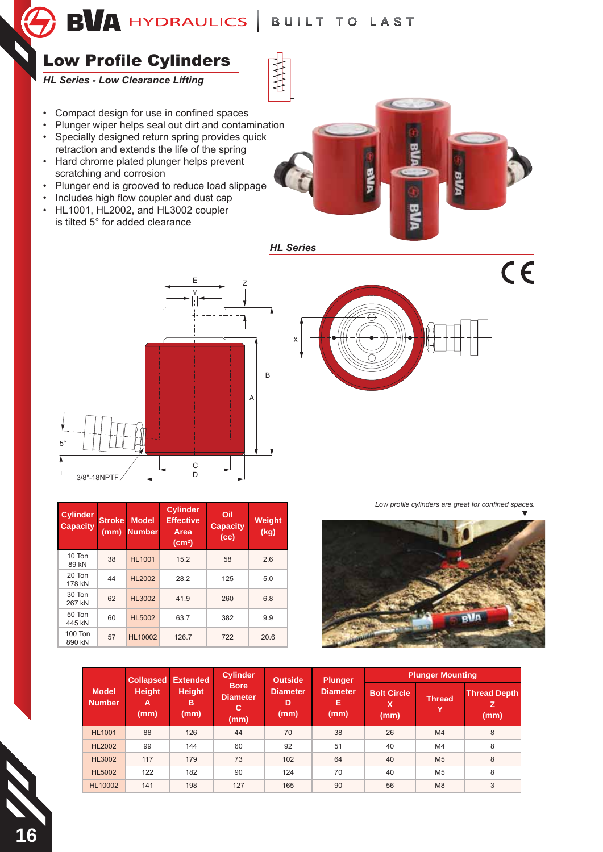

## Low Profile Cylinders

*HL Series - Low Clearance Lifting*

- Compact design for use in confined spaces
- Plunger wiper helps seal out dirt and contamination
- Specially designed return spring provides quick retraction and extends the life of the spring
- Hard chrome plated plunger helps prevent scratching and corrosion
- Plunger end is grooved to reduce load slippage
- Includes high flow coupler and dust cap
- HL1001, HL2002, and HL3002 coupler is tilted 5° for added clearance



*HL Series*



| <b>Cylinder</b><br><b>Capacity</b> | <b>Stroke</b><br>(mm) | <b>Model</b><br><b>Number</b> | <b>Cylinder</b><br><b>Effective</b><br>Area<br>(cm <sup>2</sup> ) | Oil<br><b>Capacity</b><br>(cc) | Weight<br>(kg) |  |
|------------------------------------|-----------------------|-------------------------------|-------------------------------------------------------------------|--------------------------------|----------------|--|
| 10 Ton<br>89 kN                    | 38                    | <b>HL1001</b>                 | 15.2                                                              | 58                             | 2.6            |  |
| 20 Ton<br>178 kN                   | 44                    | <b>HL2002</b>                 | 28.2                                                              | 125                            | 5.0            |  |
| 30 Ton<br>267 kN                   | 62                    | <b>HL3002</b>                 | 41.9                                                              | 260                            | 6.8            |  |
| 50 Ton<br>445 kN                   | 60                    | <b>HL5002</b>                 | 63.7                                                              | 382                            | 9.9            |  |
| 100 Ton<br>890 kN                  | 57                    | <b>HL10002</b>                | 126.7                                                             | 722                            | 20.6           |  |

 $C<sub>6</sub>$ X

Low profile cylinders are great for confined spaces.



|                               | <b>Collapsed</b>           | <b>Extended</b>            | <b>Cylinder</b>                             | <b>Outside</b>               | <b>Plunger</b>               | <b>Plunger Mounting</b>         |                |                                  |  |
|-------------------------------|----------------------------|----------------------------|---------------------------------------------|------------------------------|------------------------------|---------------------------------|----------------|----------------------------------|--|
| <b>Model</b><br><b>Number</b> | <b>Height</b><br>А<br>(mm) | <b>Height</b><br>в<br>(mm) | <b>Bore</b><br><b>Diameter</b><br>C<br>(mm) | <b>Diameter</b><br>D<br>(mm) | <b>Diameter</b><br>Е<br>(mm) | <b>Bolt Circle</b><br>x<br>(mm) | Thread,        | <b>Thread Depth</b><br>z<br>(mm) |  |
| <b>HL1001</b>                 | 88                         | 126                        | 44                                          | 70                           | 38                           | 26                              | M4             | 8                                |  |
| <b>HL2002</b>                 | 99                         | 144                        | 60                                          | 92                           | 51                           | 40                              | M4             | 8                                |  |
| <b>HL3002</b>                 | 117                        | 179                        | 73                                          | 102                          | 64                           | 40                              | M <sub>5</sub> | 8                                |  |
| <b>HL5002</b>                 | 122                        | 182                        | 90                                          | 124                          | 70                           | 40                              | M <sub>5</sub> | 8                                |  |
| <b>HL10002</b>                | 141                        | 198                        | 127                                         | 165                          | 90                           | 56                              | M <sub>8</sub> | 3                                |  |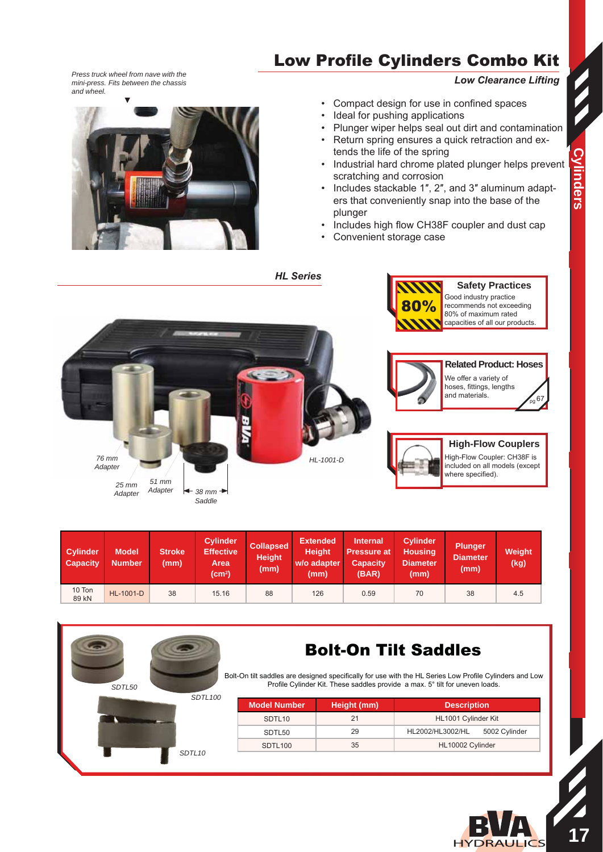## Low Profile Cylinders Combo Kit

*Low Clearance Lifting*

**Safety Practices**

*Press truck wheel from nave with the mini-press. Fits between the chassis and wheel.*



• Compact design for use in confined spaces

- Ideal for pushing applications
- Plunger wiper helps seal out dirt and contamination
- Return spring ensures a quick retraction and extends the life of the spring
- Industrial hard chrome plated plunger helps prevent scratching and corrosion
- Includes stackable 1", 2", and 3" aluminum adapters that conveniently snap into the base of the plunger
- Includes high flow CH38F coupler and dust cap
- Convenient storage case



*HL Series*

| <b>Cylinder</b><br><b>Capacity</b> | <b>Model</b><br>Number. | <b>Stroke</b><br>(mm) | <b>Cylinder</b><br><b>Effective</b><br>Area<br>(cm <sup>2</sup> ) | <b>Collapsed</b><br><b>Height</b><br>(mm) | <b>Extended</b><br><b>Height</b><br>w/o adapter<br>(mm) | <b>Internal</b><br><b>Pressure at A</b><br><b>Capacity</b><br>(BAR) | Cylinder<br><b>Housing</b><br><b>Diameter</b><br>(mm) | <b>Plunger</b><br><b>Diameter</b><br>(mm) | Weight<br>(kg) |
|------------------------------------|-------------------------|-----------------------|-------------------------------------------------------------------|-------------------------------------------|---------------------------------------------------------|---------------------------------------------------------------------|-------------------------------------------------------|-------------------------------------------|----------------|
| 10 Ton<br>89 kN                    | <b>HL-1001-D</b>        | 38                    | 15.16                                                             | 88                                        | 126                                                     | 0.59                                                                | 70                                                    | 38                                        | 4.5            |



## **Bolt-On Tilt Saddles**

Bolt-On tilt saddles are designed specifically for use with the HL Series Low Profile Cylinders and Low Profile Cylinder Kit. These saddles provide a max. 5° tilt for uneven loads.

| Model Number        | Height (mm) | <b>Description</b>                |
|---------------------|-------------|-----------------------------------|
| SDTL <sub>10</sub>  | 21          | HL1001 Cylinder Kit               |
| SDTL50              | 29          | HL2002/HL3002/HL<br>5002 Cylinder |
| SDTL <sub>100</sub> | 35          | HL10002 Cylinder                  |

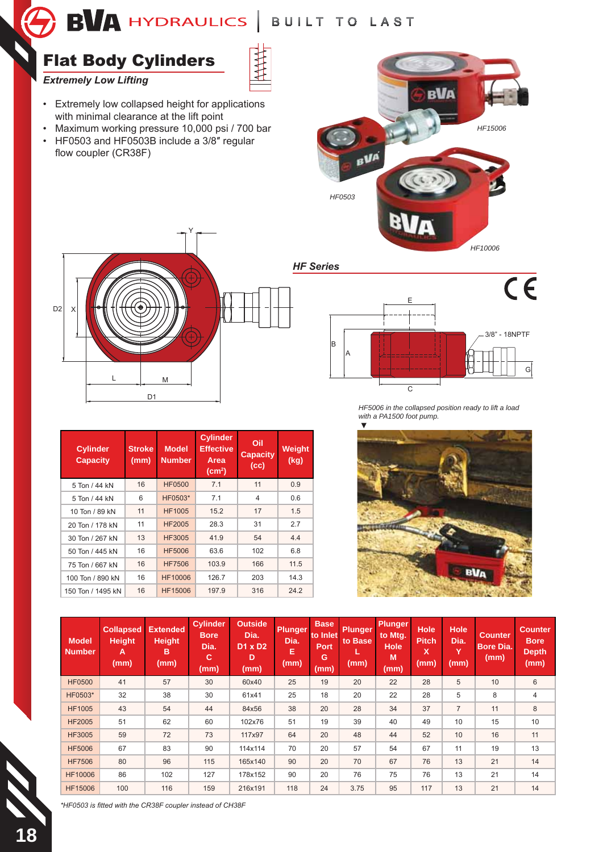$\bigcap$  BVA hydraulics | Built to last



| <b>Cylinder</b><br><b>Capacity</b> | <b>Stroke</b><br>(mm) | <b>Model</b><br><b>Number</b> | <b>Cylinder</b><br><b>Effective</b><br>Area<br>(cm <sup>2</sup> ) | Oil<br><b>Capacity</b><br>(cc) | <b>Weight</b><br>(kg) |
|------------------------------------|-----------------------|-------------------------------|-------------------------------------------------------------------|--------------------------------|-----------------------|
| 5 Ton / 44 kN                      | 16                    | <b>HF0500</b>                 | 7.1                                                               | 11                             | 0.9                   |
| 5 Ton / 44 kN                      | 6                     | HF0503*                       | 7.1                                                               | 4                              | 0.6                   |
| 10 Ton / 89 kN                     | 11                    | <b>HF1005</b>                 | 15.2                                                              | 17                             | 1.5                   |
| 20 Ton / 178 kN                    | 11                    | <b>HF2005</b>                 | 28.3                                                              | 31                             | 2.7                   |
| 30 Ton / 267 kN                    | 13                    | <b>HF3005</b>                 | 41.9                                                              | 54                             | 4.4                   |
| 50 Ton / 445 kN                    | 16                    | <b>HF5006</b>                 | 63.6                                                              | 102                            | 6.8                   |
| 75 Ton / 667 kN                    | 16                    | <b>HF7506</b>                 | 103.9                                                             | 166                            | 11.5                  |
| 100 Ton / 890 kN                   | 16                    | HF10006                       | 126.7                                                             | 203                            | 14.3                  |
| 150 Ton / 1495 kN                  | 16                    | HF15006                       | 197.9                                                             | 316                            | 24.2                  |

D1

L M

*HF5006 in the collapsed position ready to lift a load with a PA1500 foot pump.*

G

C



| <b>Model</b><br><b>Number</b> | <b>Collapsed</b><br><b>Height</b><br>A<br>(mm) | <b>Extended</b><br><b>Height</b><br>B<br>(mm) | <b>Cylinder</b><br><b>Bore</b><br>Dia.<br>с<br>(mm) | <b>Outside</b><br>Dia.<br><b>D1 x D2</b><br>D<br>(mm) | <b>Plunger</b><br>Dia.<br>E<br>(mm) | <b>Base</b><br>to Inlet<br><b>Port</b><br>G<br>(mm) | <b>Plunger</b><br>to Base<br>(mm) | <b>Plunger</b><br>to Mtg.<br><b>Hole</b><br>M<br>(mm) | <b>Hole</b><br><b>Pitch</b><br>X<br>(mm) | <b>Hole</b><br>Dia.<br>Y<br>(mm) | <b>Counter</b><br><b>Bore Dia.</b><br>(mm) | <b>Counter</b><br><b>Bore</b><br><b>Depth</b><br>(mm) |
|-------------------------------|------------------------------------------------|-----------------------------------------------|-----------------------------------------------------|-------------------------------------------------------|-------------------------------------|-----------------------------------------------------|-----------------------------------|-------------------------------------------------------|------------------------------------------|----------------------------------|--------------------------------------------|-------------------------------------------------------|
| <b>HF0500</b>                 | 41                                             | 57                                            | 30                                                  | 60x40                                                 | 25                                  | 19                                                  | 20                                | 22                                                    | 28                                       | 5                                | 10                                         | 6                                                     |
| HF0503*                       | 32                                             | 38                                            | 30                                                  | 61x41                                                 | 25                                  | 18                                                  | 20                                | 22                                                    | 28                                       | 5                                | 8                                          | $\overline{4}$                                        |
| <b>HF1005</b>                 | 43                                             | 54                                            | 44                                                  | 84x56                                                 | 38                                  | 20                                                  | 28                                | 34                                                    | 37                                       | $\overline{7}$                   | 11                                         | 8                                                     |
| <b>HF2005</b>                 | 51                                             | 62                                            | 60                                                  | 102x76                                                | 51                                  | 19                                                  | 39                                | 40                                                    | 49                                       | 10                               | 15                                         | 10                                                    |
| <b>HF3005</b>                 | 59                                             | 72                                            | 73                                                  | 117x97                                                | 64                                  | 20                                                  | 48                                | 44                                                    | 52                                       | 10                               | 16                                         | 11                                                    |
| <b>HF5006</b>                 | 67                                             | 83                                            | 90                                                  | 114x114                                               | 70                                  | 20                                                  | 57                                | 54                                                    | 67                                       | 11                               | 19                                         | 13                                                    |
| <b>HF7506</b>                 | 80                                             | 96                                            | 115                                                 | 165x140                                               | 90                                  | 20                                                  | 70                                | 67                                                    | 76                                       | 13                               | 21                                         | 14                                                    |
| <b>HF10006</b>                | 86                                             | 102                                           | 127                                                 | 178x152                                               | 90                                  | 20                                                  | 76                                | 75                                                    | 76                                       | 13                               | 21                                         | 14                                                    |
| <b>HF15006</b>                | 100                                            | 116                                           | 159                                                 | 216x191                                               | 118                                 | 24                                                  | 3.75                              | 95                                                    | 117                                      | 13                               | 21                                         | 14                                                    |

*\*HF0503 is fitted with the CR38F coupler instead of CH38F*